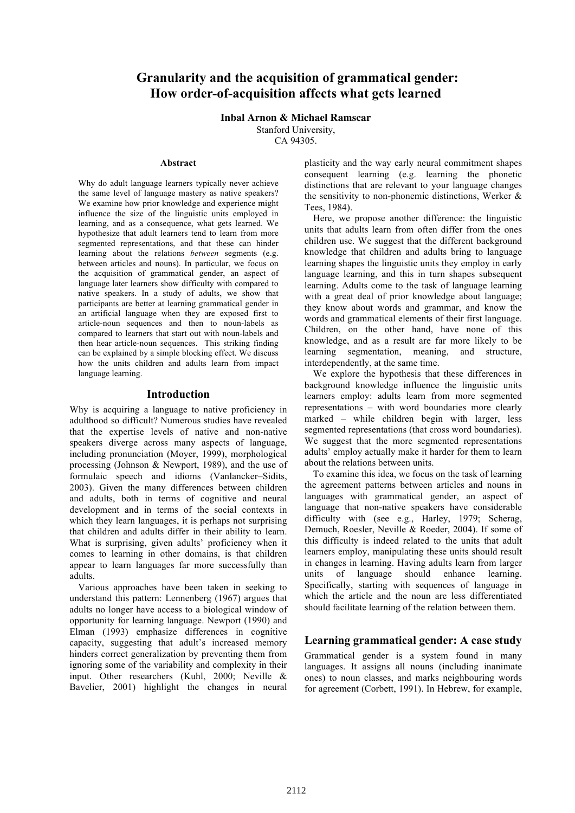# **Granularity and the acquisition of grammatical gender: How order-of-acquisition affects what gets learned**

**Inbal Arnon & Michael Ramscar**

Stanford University,

CA 94305.

### **Abstract**

Why do adult language learners typically never achieve the same level of language mastery as native speakers? We examine how prior knowledge and experience might influence the size of the linguistic units employed in learning, and as a consequence, what gets learned. We hypothesize that adult learners tend to learn from more segmented representations, and that these can hinder learning about the relations *between* segments (e.g. between articles and nouns). In particular, we focus on the acquisition of grammatical gender, an aspect of language later learners show difficulty with compared to native speakers. In a study of adults, we show that participants are better at learning grammatical gender in an artificial language when they are exposed first to article-noun sequences and then to noun-labels as compared to learners that start out with noun-labels and then hear article-noun sequences. This striking finding can be explained by a simple blocking effect. We discuss how the units children and adults learn from impact language learning.

#### **Introduction**

Why is acquiring a language to native proficiency in adulthood so difficult? Numerous studies have revealed that the expertise levels of native and non-native speakers diverge across many aspects of language, including pronunciation (Moyer, 1999), morphological processing (Johnson & Newport, 1989), and the use of formulaic speech and idioms (Vanlancker–Sidits, 2003). Given the many differences between children and adults, both in terms of cognitive and neural development and in terms of the social contexts in which they learn languages, it is perhaps not surprising that children and adults differ in their ability to learn. What is surprising, given adults' proficiency when it comes to learning in other domains, is that children appear to learn languages far more successfully than adults.

Various approaches have been taken in seeking to understand this pattern: Lennenberg (1967) argues that adults no longer have access to a biological window of opportunity for learning language. Newport (1990) and Elman (1993) emphasize differences in cognitive capacity, suggesting that adult's increased memory hinders correct generalization by preventing them from ignoring some of the variability and complexity in their input. Other researchers (Kuhl, 2000; Neville & Bavelier, 2001) highlight the changes in neural

plasticity and the way early neural commitment shapes consequent learning (e.g. learning the phonetic distinctions that are relevant to your language changes the sensitivity to non-phonemic distinctions, Werker & Tees, 1984).

Here, we propose another difference: the linguistic units that adults learn from often differ from the ones children use. We suggest that the different background knowledge that children and adults bring to language learning shapes the linguistic units they employ in early language learning, and this in turn shapes subsequent learning. Adults come to the task of language learning with a great deal of prior knowledge about language; they know about words and grammar, and know the words and grammatical elements of their first language. Children, on the other hand, have none of this knowledge, and as a result are far more likely to be learning segmentation, meaning, and structure, interdependently, at the same time.

We explore the hypothesis that these differences in background knowledge influence the linguistic units learners employ: adults learn from more segmented representations – with word boundaries more clearly marked – while children begin with larger, less segmented representations (that cross word boundaries). We suggest that the more segmented representations adults' employ actually make it harder for them to learn about the relations between units.

To examine this idea, we focus on the task of learning the agreement patterns between articles and nouns in languages with grammatical gender, an aspect of language that non-native speakers have considerable difficulty with (see e.g., Harley, 1979; Scherag, Demuch, Roesler, Neville & Roeder, 2004). If some of this difficulty is indeed related to the units that adult learners employ, manipulating these units should result in changes in learning. Having adults learn from larger units of language should enhance learning. Specifically, starting with sequences of language in which the article and the noun are less differentiated should facilitate learning of the relation between them.

# **Learning grammatical gender: A case study**

Grammatical gender is a system found in many languages. It assigns all nouns (including inanimate ones) to noun classes, and marks neighbouring words for agreement (Corbett, 1991). In Hebrew, for example,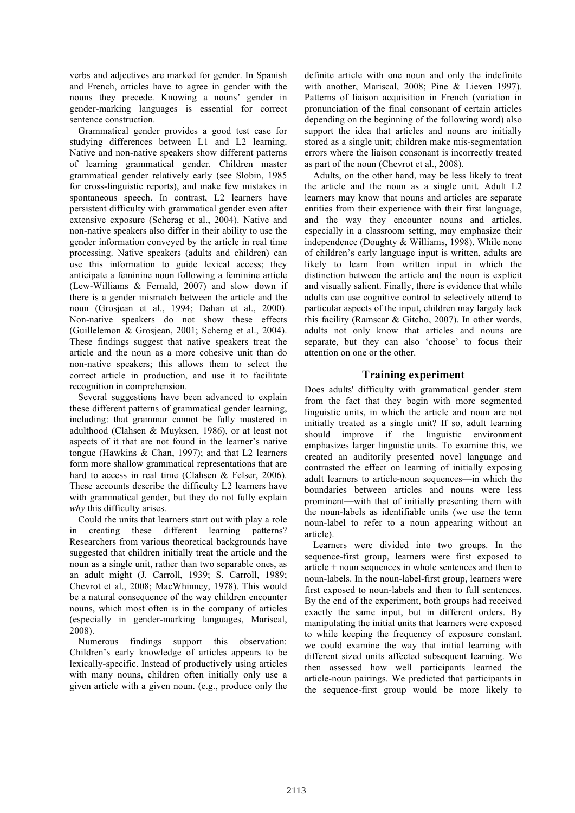verbs and adjectives are marked for gender. In Spanish and French, articles have to agree in gender with the nouns they precede. Knowing a nouns' gender in gender-marking languages is essential for correct sentence construction.

Grammatical gender provides a good test case for studying differences between L1 and L2 learning. Native and non-native speakers show different patterns of learning grammatical gender. Children master grammatical gender relatively early (see Slobin, 1985 for cross-linguistic reports), and make few mistakes in spontaneous speech. In contrast, L2 learners have persistent difficulty with grammatical gender even after extensive exposure (Scherag et al., 2004). Native and non-native speakers also differ in their ability to use the gender information conveyed by the article in real time processing. Native speakers (adults and children) can use this information to guide lexical access; they anticipate a feminine noun following a feminine article (Lew-Williams & Fernald, 2007) and slow down if there is a gender mismatch between the article and the noun (Grosjean et al., 1994; Dahan et al., 2000). Non-native speakers do not show these effects (Guillelemon & Grosjean, 2001; Scherag et al., 2004). These findings suggest that native speakers treat the article and the noun as a more cohesive unit than do non-native speakers; this allows them to select the correct article in production, and use it to facilitate recognition in comprehension.

Several suggestions have been advanced to explain these different patterns of grammatical gender learning, including: that grammar cannot be fully mastered in adulthood (Clahsen & Muyksen, 1986), or at least not aspects of it that are not found in the learner's native tongue (Hawkins & Chan, 1997); and that L2 learners form more shallow grammatical representations that are hard to access in real time (Clahsen & Felser, 2006). These accounts describe the difficulty L2 learners have with grammatical gender, but they do not fully explain *why* this difficulty arises.

Could the units that learners start out with play a role in creating these different learning patterns? Researchers from various theoretical backgrounds have suggested that children initially treat the article and the noun as a single unit, rather than two separable ones, as an adult might (J. Carroll, 1939; S. Carroll, 1989; Chevrot et al., 2008; MacWhinney, 1978). This would be a natural consequence of the way children encounter nouns, which most often is in the company of articles (especially in gender-marking languages, Mariscal, 2008).

Numerous findings support this observation: Children's early knowledge of articles appears to be lexically-specific. Instead of productively using articles with many nouns, children often initially only use a given article with a given noun. (e.g., produce only the

definite article with one noun and only the indefinite with another, Mariscal, 2008; Pine & Lieven 1997). Patterns of liaison acquisition in French (variation in pronunciation of the final consonant of certain articles depending on the beginning of the following word) also support the idea that articles and nouns are initially stored as a single unit; children make mis-segmentation errors where the liaison consonant is incorrectly treated as part of the noun (Chevrot et al., 2008).

Adults, on the other hand, may be less likely to treat the article and the noun as a single unit. Adult L2 learners may know that nouns and articles are separate entities from their experience with their first language, and the way they encounter nouns and articles, especially in a classroom setting, may emphasize their independence (Doughty & Williams, 1998). While none of children's early language input is written, adults are likely to learn from written input in which the distinction between the article and the noun is explicit and visually salient. Finally, there is evidence that while adults can use cognitive control to selectively attend to particular aspects of the input, children may largely lack this facility (Ramscar & Gitcho, 2007). In other words, adults not only know that articles and nouns are separate, but they can also 'choose' to focus their attention on one or the other.

# **Training experiment**

Does adults' difficulty with grammatical gender stem from the fact that they begin with more segmented linguistic units, in which the article and noun are not initially treated as a single unit? If so, adult learning should improve if the linguistic environment emphasizes larger linguistic units. To examine this, we created an auditorily presented novel language and contrasted the effect on learning of initially exposing adult learners to article-noun sequences—in which the boundaries between articles and nouns were less prominent—with that of initially presenting them with the noun-labels as identifiable units (we use the term noun-label to refer to a noun appearing without an article).

Learners were divided into two groups. In the sequence-first group, learners were first exposed to article + noun sequences in whole sentences and then to noun-labels. In the noun-label-first group, learners were first exposed to noun-labels and then to full sentences. By the end of the experiment, both groups had received exactly the same input, but in different orders. By manipulating the initial units that learners were exposed to while keeping the frequency of exposure constant, we could examine the way that initial learning with different sized units affected subsequent learning. We then assessed how well participants learned the article-noun pairings. We predicted that participants in the sequence-first group would be more likely to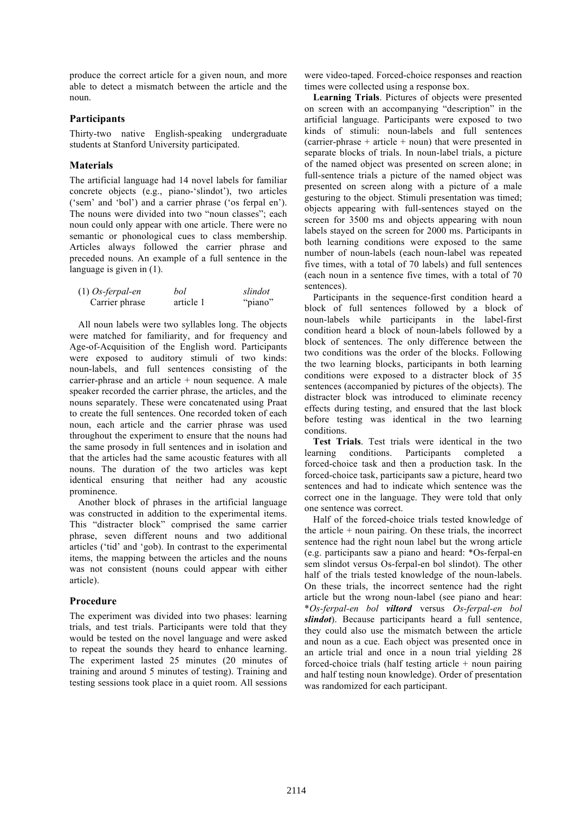produce the correct article for a given noun, and more able to detect a mismatch between the article and the noun.

### **Participants**

Thirty-two native English-speaking undergraduate students at Stanford University participated.

## **Materials**

The artificial language had 14 novel labels for familiar concrete objects (e.g., piano-'slindot'), two articles ('sem' and 'bol') and a carrier phrase ('os ferpal en'). The nouns were divided into two "noun classes"; each noun could only appear with one article. There were no semantic or phonological cues to class membership. Articles always followed the carrier phrase and preceded nouns. An example of a full sentence in the language is given in  $(1)$ .

| $(1)$ Os-ferpal-en | bol       | slindot |
|--------------------|-----------|---------|
| Carrier phrase     | article 1 | "piano" |

All noun labels were two syllables long. The objects were matched for familiarity, and for frequency and Age-of-Acquisition of the English word. Participants were exposed to auditory stimuli of two kinds: noun-labels, and full sentences consisting of the carrier-phrase and an article + noun sequence. A male speaker recorded the carrier phrase, the articles, and the nouns separately. These were concatenated using Praat to create the full sentences. One recorded token of each noun, each article and the carrier phrase was used throughout the experiment to ensure that the nouns had the same prosody in full sentences and in isolation and that the articles had the same acoustic features with all nouns. The duration of the two articles was kept identical ensuring that neither had any acoustic prominence.

Another block of phrases in the artificial language was constructed in addition to the experimental items. This "distracter block" comprised the same carrier phrase, seven different nouns and two additional articles ('tid' and 'gob). In contrast to the experimental items, the mapping between the articles and the nouns was not consistent (nouns could appear with either article).

# **Procedure**

The experiment was divided into two phases: learning trials, and test trials. Participants were told that they would be tested on the novel language and were asked to repeat the sounds they heard to enhance learning. The experiment lasted 25 minutes (20 minutes of training and around 5 minutes of testing). Training and testing sessions took place in a quiet room. All sessions

were video-taped. Forced-choice responses and reaction times were collected using a response box.

**Learning Trials**. Pictures of objects were presented on screen with an accompanying "description" in the artificial language. Participants were exposed to two kinds of stimuli: noun-labels and full sentences (carrier-phrase  $+$  article  $+$  noun) that were presented in separate blocks of trials. In noun-label trials, a picture of the named object was presented on screen alone; in full-sentence trials a picture of the named object was presented on screen along with a picture of a male gesturing to the object. Stimuli presentation was timed; objects appearing with full-sentences stayed on the screen for 3500 ms and objects appearing with noun labels stayed on the screen for 2000 ms. Participants in both learning conditions were exposed to the same number of noun-labels (each noun-label was repeated five times, with a total of 70 labels) and full sentences (each noun in a sentence five times, with a total of 70 sentences).

Participants in the sequence-first condition heard a block of full sentences followed by a block of noun-labels while participants in the label-first condition heard a block of noun-labels followed by a block of sentences. The only difference between the two conditions was the order of the blocks. Following the two learning blocks, participants in both learning conditions were exposed to a distracter block of 35 sentences (accompanied by pictures of the objects). The distracter block was introduced to eliminate recency effects during testing, and ensured that the last block before testing was identical in the two learning conditions.

**Test Trials**. Test trials were identical in the two learning conditions. Participants completed a forced-choice task and then a production task. In the forced-choice task, participants saw a picture, heard two sentences and had to indicate which sentence was the correct one in the language. They were told that only one sentence was correct.

Half of the forced-choice trials tested knowledge of the article  $+$  noun pairing. On these trials, the incorrect sentence had the right noun label but the wrong article (e.g. participants saw a piano and heard: \*Os-ferpal-en sem slindot versus Os-ferpal-en bol slindot). The other half of the trials tested knowledge of the noun-labels. On these trials, the incorrect sentence had the right article but the wrong noun-label (see piano and hear: \**Os-ferpal-en bol viltord* versus *Os-ferpal-en bol slindot*). Because participants heard a full sentence, they could also use the mismatch between the article and noun as a cue. Each object was presented once in an article trial and once in a noun trial yielding 28 forced-choice trials (half testing article  $+$  noun pairing and half testing noun knowledge). Order of presentation was randomized for each participant.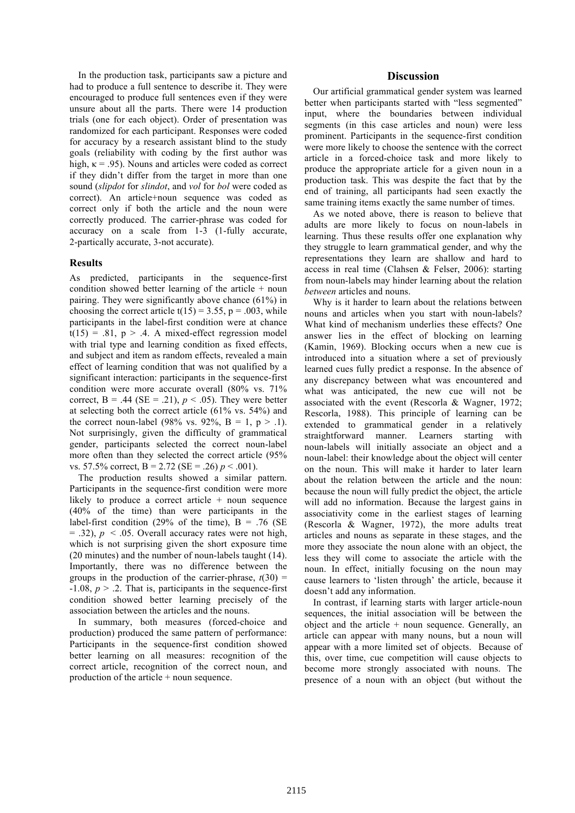In the production task, participants saw a picture and had to produce a full sentence to describe it. They were encouraged to produce full sentences even if they were unsure about all the parts. There were 14 production trials (one for each object). Order of presentation was randomized for each participant. Responses were coded for accuracy by a research assistant blind to the study goals (reliability with coding by the first author was high,  $\kappa$  = .95). Nouns and articles were coded as correct if they didn't differ from the target in more than one sound (*slipdot* for *slindot*, and *vol* for *bol* were coded as correct). An article+noun sequence was coded as correct only if both the article and the noun were correctly produced. The carrier-phrase was coded for accuracy on a scale from 1-3 (1-fully accurate, 2-partically accurate, 3-not accurate).

### **Results**

As predicted, participants in the sequence-first condition showed better learning of the article  $+$  noun pairing. They were significantly above chance (61%) in choosing the correct article t(15) = 3.55, p = .003, while participants in the label-first condition were at chance  $t(15) = .81$ ,  $p > .4$ . A mixed-effect regression model with trial type and learning condition as fixed effects, and subject and item as random effects, revealed a main effect of learning condition that was not qualified by a significant interaction: participants in the sequence-first condition were more accurate overall (80% vs. 71% correct,  $B = .44$  (SE = .21),  $p < .05$ ). They were better at selecting both the correct article (61% vs. 54%) and the correct noun-label (98% vs. 92%,  $B = 1$ ,  $p > .1$ ). Not surprisingly, given the difficulty of grammatical gender, participants selected the correct noun-label more often than they selected the correct article (95% vs. 57.5% correct,  $B = 2.72$  (SE = .26)  $p < .001$ ).

The production results showed a similar pattern. Participants in the sequence-first condition were more likely to produce a correct article  $+$  noun sequence (40% of the time) than were participants in the label-first condition (29% of the time),  $B = .76$  (SE  $=$  .32),  $p \le 0.05$ . Overall accuracy rates were not high, which is not surprising given the short exposure time (20 minutes) and the number of noun-labels taught (14). Importantly, there was no difference between the groups in the production of the carrier-phrase,  $t(30)$  =  $-1.08$ ,  $p > 0.2$ . That is, participants in the sequence-first condition showed better learning precisely of the association between the articles and the nouns.

In summary, both measures (forced-choice and production) produced the same pattern of performance: Participants in the sequence-first condition showed better learning on all measures: recognition of the correct article, recognition of the correct noun, and production of the article + noun sequence.

### **Discussion**

Our artificial grammatical gender system was learned better when participants started with "less segmented" input, where the boundaries between individual segments (in this case articles and noun) were less prominent. Participants in the sequence-first condition were more likely to choose the sentence with the correct article in a forced-choice task and more likely to produce the appropriate article for a given noun in a production task. This was despite the fact that by the end of training, all participants had seen exactly the same training items exactly the same number of times.

As we noted above, there is reason to believe that adults are more likely to focus on noun-labels in learning. Thus these results offer one explanation why they struggle to learn grammatical gender, and why the representations they learn are shallow and hard to access in real time (Clahsen & Felser, 2006): starting from noun-labels may hinder learning about the relation *between* articles and nouns.

Why is it harder to learn about the relations between nouns and articles when you start with noun-labels? What kind of mechanism underlies these effects? One answer lies in the effect of blocking on learning (Kamin, 1969). Blocking occurs when a new cue is introduced into a situation where a set of previously learned cues fully predict a response. In the absence of any discrepancy between what was encountered and what was anticipated, the new cue will not be associated with the event (Rescorla & Wagner, 1972; Rescorla, 1988). This principle of learning can be extended to grammatical gender in a relatively straightforward manner. Learners starting with noun-labels will initially associate an object and a noun-label: their knowledge about the object will center on the noun. This will make it harder to later learn about the relation between the article and the noun: because the noun will fully predict the object, the article will add no information. Because the largest gains in associativity come in the earliest stages of learning (Rescorla & Wagner, 1972), the more adults treat articles and nouns as separate in these stages, and the more they associate the noun alone with an object, the less they will come to associate the article with the noun. In effect, initially focusing on the noun may cause learners to 'listen through' the article, because it doesn't add any information.

In contrast, if learning starts with larger article-noun sequences, the initial association will be between the object and the article  $+$  noun sequence. Generally, an article can appear with many nouns, but a noun will appear with a more limited set of objects. Because of this, over time, cue competition will cause objects to become more strongly associated with nouns. The presence of a noun with an object (but without the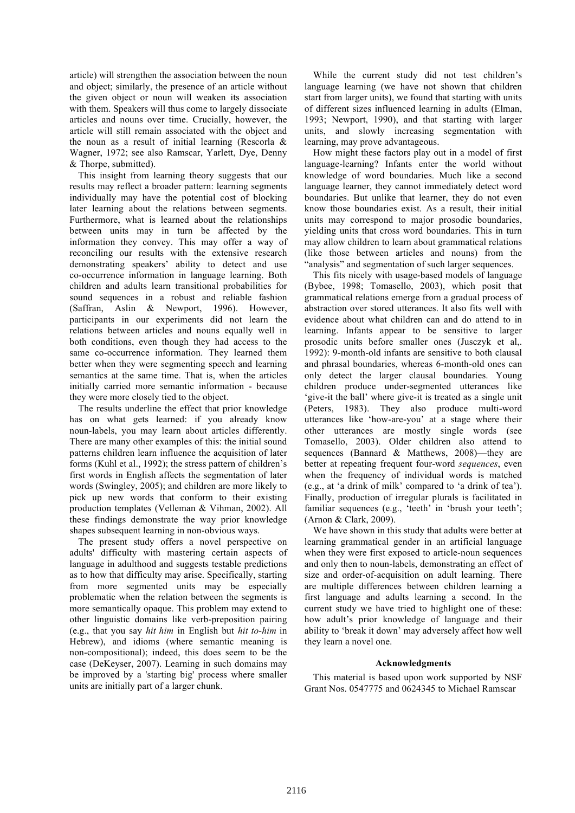article) will strengthen the association between the noun and object; similarly, the presence of an article without the given object or noun will weaken its association with them. Speakers will thus come to largely dissociate articles and nouns over time. Crucially, however, the article will still remain associated with the object and the noun as a result of initial learning (Rescorla & Wagner, 1972; see also Ramscar, Yarlett, Dye, Denny & Thorpe, submitted).

This insight from learning theory suggests that our results may reflect a broader pattern: learning segments individually may have the potential cost of blocking later learning about the relations between segments. Furthermore, what is learned about the relationships between units may in turn be affected by the information they convey. This may offer a way of reconciling our results with the extensive research demonstrating speakers' ability to detect and use co-occurrence information in language learning. Both children and adults learn transitional probabilities for sound sequences in a robust and reliable fashion (Saffran, Aslin & Newport, 1996). However, participants in our experiments did not learn the relations between articles and nouns equally well in both conditions, even though they had access to the same co-occurrence information. They learned them better when they were segmenting speech and learning semantics at the same time. That is, when the articles initially carried more semantic information - because they were more closely tied to the object.

The results underline the effect that prior knowledge has on what gets learned: if you already know noun-labels, you may learn about articles differently. There are many other examples of this: the initial sound patterns children learn influence the acquisition of later forms (Kuhl et al., 1992); the stress pattern of children's first words in English affects the segmentation of later words (Swingley, 2005); and children are more likely to pick up new words that conform to their existing production templates (Velleman & Vihman, 2002). All these findings demonstrate the way prior knowledge shapes subsequent learning in non-obvious ways.

The present study offers a novel perspective on adults' difficulty with mastering certain aspects of language in adulthood and suggests testable predictions as to how that difficulty may arise. Specifically, starting from more segmented units may be especially problematic when the relation between the segments is more semantically opaque. This problem may extend to other linguistic domains like verb-preposition pairing (e.g., that you say *hit him* in English but *hit to-him* in Hebrew), and idioms (where semantic meaning is non-compositional); indeed, this does seem to be the case (DeKeyser, 2007). Learning in such domains may be improved by a 'starting big' process where smaller units are initially part of a larger chunk.

While the current study did not test children's language learning (we have not shown that children start from larger units), we found that starting with units of different sizes influenced learning in adults (Elman, 1993; Newport, 1990), and that starting with larger units, and slowly increasing segmentation with learning, may prove advantageous.

How might these factors play out in a model of first language-learning? Infants enter the world without knowledge of word boundaries. Much like a second language learner, they cannot immediately detect word boundaries. But unlike that learner, they do not even know those boundaries exist. As a result, their initial units may correspond to major prosodic boundaries, yielding units that cross word boundaries. This in turn may allow children to learn about grammatical relations (like those between articles and nouns) from the "analysis" and segmentation of such larger sequences.

This fits nicely with usage-based models of language (Bybee, 1998; Tomasello, 2003), which posit that grammatical relations emerge from a gradual process of abstraction over stored utterances. It also fits well with evidence about what children can and do attend to in learning. Infants appear to be sensitive to larger prosodic units before smaller ones (Jusczyk et al,. 1992): 9-month-old infants are sensitive to both clausal and phrasal boundaries, whereas 6-month-old ones can only detect the larger clausal boundaries. Young children produce under-segmented utterances like 'give-it the ball' where give-it is treated as a single unit (Peters, 1983). They also produce multi-word utterances like 'how-are-you' at a stage where their other utterances are mostly single words (see Tomasello, 2003). Older children also attend to sequences (Bannard & Matthews, 2008)—they are better at repeating frequent four-word *sequences*, even when the frequency of individual words is matched (e.g., at 'a drink of milk' compared to 'a drink of tea'). Finally, production of irregular plurals is facilitated in familiar sequences (e.g., 'teeth' in 'brush your teeth'; (Arnon & Clark, 2009).

We have shown in this study that adults were better at learning grammatical gender in an artificial language when they were first exposed to article-noun sequences and only then to noun-labels, demonstrating an effect of size and order-of-acquisition on adult learning. There are multiple differences between children learning a first language and adults learning a second. In the current study we have tried to highlight one of these: how adult's prior knowledge of language and their ability to 'break it down' may adversely affect how well they learn a novel one.

#### **Acknowledgments**

This material is based upon work supported by NSF Grant Nos. 0547775 and 0624345 to Michael Ramscar